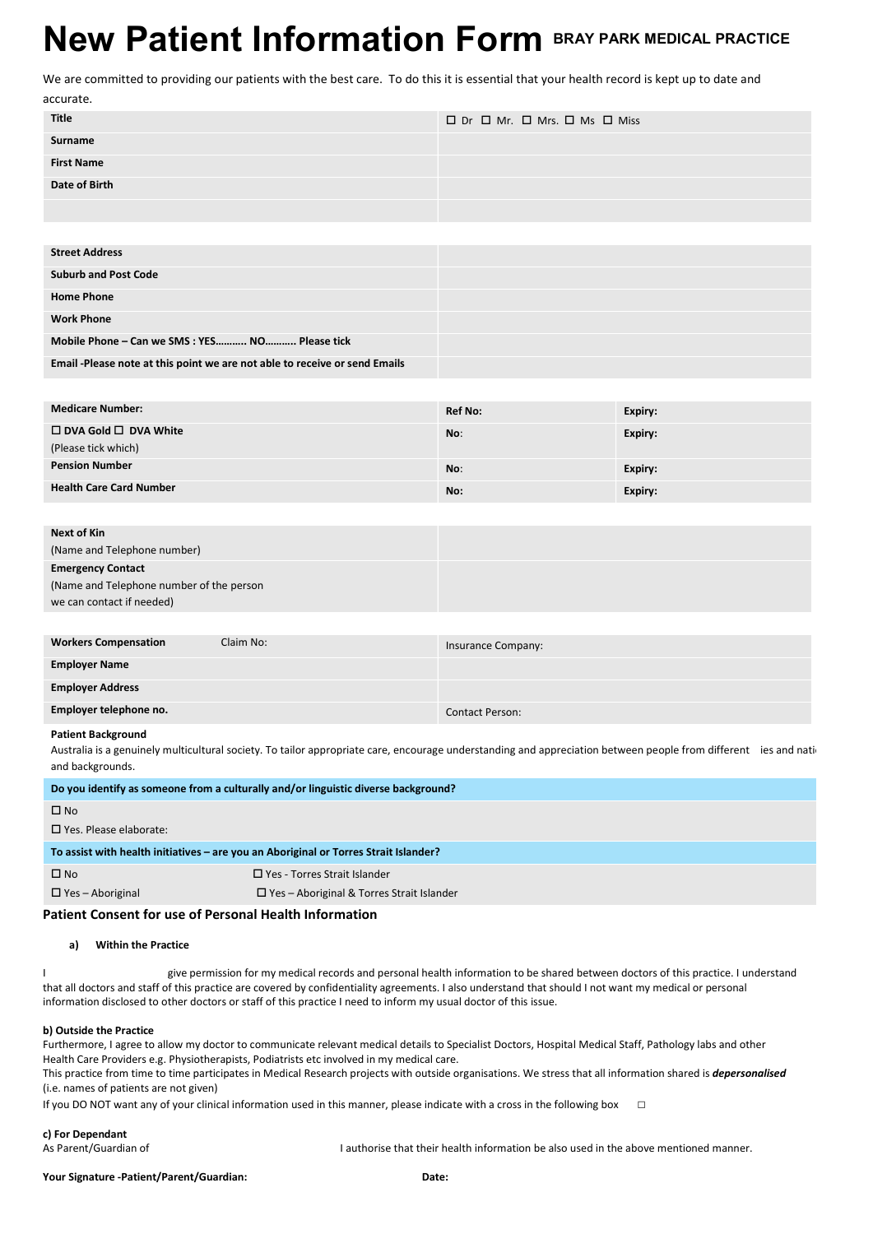# New Patient Information Form BRAY PARK MEDICAL PRACTICE

We are committed to providing our patients with the best care. To do this it is essential that your health record is kept up to date and accurate.

| <b>Title</b>      | $\Box$ Dr $\Box$ Mr. $\Box$ Mrs. $\Box$ Ms $\Box$ Miss |
|-------------------|--------------------------------------------------------|
| Surname           |                                                        |
| <b>First Name</b> |                                                        |
| Date of Birth     |                                                        |
|                   |                                                        |

| <b>Street Address</b>                                                      |  |
|----------------------------------------------------------------------------|--|
| <b>Suburb and Post Code</b>                                                |  |
| <b>Home Phone</b>                                                          |  |
| <b>Work Phone</b>                                                          |  |
| Mobile Phone - Can we SMS: YES NO Please tick                              |  |
| Email -Please note at this point we are not able to receive or send Emails |  |

| <b>Medicare Number:</b>          | <b>Ref No:</b> | Expiry: |
|----------------------------------|----------------|---------|
| $\Box$ DVA Gold $\Box$ DVA White | No:            | Expiry: |
| (Please tick which)              |                |         |
| <b>Pension Number</b>            | No:            | Expiry: |
| <b>Health Care Card Number</b>   | No:            | Expiry: |

| (Name and Telephone number)              |  |
|------------------------------------------|--|
| <b>Emergency Contact</b>                 |  |
| (Name and Telephone number of the person |  |
| we can contact if needed)                |  |

| <b>Workers Compensation</b> | Claim No: | Insurance Company:     |
|-----------------------------|-----------|------------------------|
| <b>Employer Name</b>        |           |                        |
| <b>Employer Address</b>     |           |                        |
| Employer telephone no.      |           | <b>Contact Person:</b> |

#### Patient Background

Australia is a genuinely multicultural society. To tailor appropriate care, encourage understanding and appreciation between people from different ies and nationalities and backgrounds.

|                                                                                      | Do you identify as someone from a culturally and/or linguistic diverse background? |  |
|--------------------------------------------------------------------------------------|------------------------------------------------------------------------------------|--|
| $\square$ No                                                                         |                                                                                    |  |
| $\Box$ Yes. Please elaborate:                                                        |                                                                                    |  |
| To assist with health initiatives - are you an Aboriginal or Torres Strait Islander? |                                                                                    |  |
| $\square$ No                                                                         | $\Box$ Yes - Torres Strait Islander                                                |  |
| $\Box$ Yes - Aboriginal                                                              | $\Box$ Yes - Aboriginal & Torres Strait Islander                                   |  |
| Patient Consent for use of Personal Health Information                               |                                                                                    |  |

#### a) Within the Practice

I give permission for my medical records and personal health information to be shared between doctors of this practice. I understand that all doctors and staff of this practice are covered by confidentiality agreements. I also understand that should I not want my medical or personal information disclosed to other doctors or staff of this practice I need to inform my usual doctor of this issue.

### b) Outside the Practice

Furthermore, I agree to allow my doctor to communicate relevant medical details to Specialist Doctors, Hospital Medical Staff, Pathology labs and other Health Care Providers e.g. Physiotherapists, Podiatrists etc involved in my medical care.

This practice from time to time participates in Medical Research projects with outside organisations. We stress that all information shared is *depersonalised* (i.e. names of patients are not given)

If you DO NOT want any of your clinical information used in this manner, please indicate with a cross in the following box □

## c) For Dependant

As Parent/Guardian of I authorise that their health information be also used in the above mentioned manner.